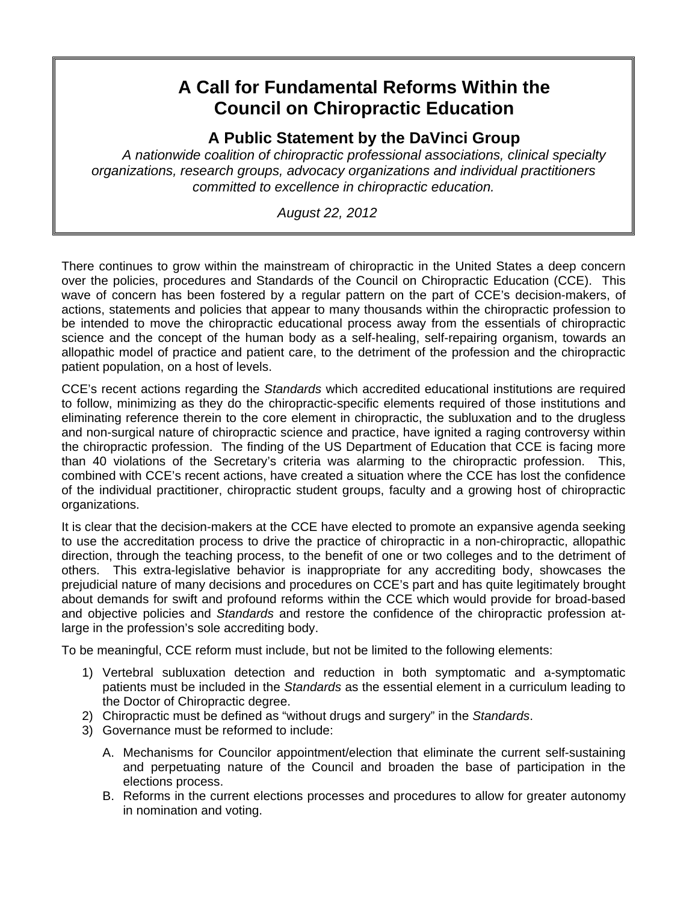## **A Call for Fundamental Reforms Within the Council on Chiropractic Education**

**A Public Statement by the DaVinci Group** 

*A nationwide coalition of chiropractic professional associations, clinical specialty organizations, research groups, advocacy organizations and individual practitioners committed to excellence in chiropractic education.* 

 *August 22, 2012* 

There continues to grow within the mainstream of chiropractic in the United States a deep concern over the policies, procedures and Standards of the Council on Chiropractic Education (CCE). This wave of concern has been fostered by a regular pattern on the part of CCE's decision-makers, of actions, statements and policies that appear to many thousands within the chiropractic profession to be intended to move the chiropractic educational process away from the essentials of chiropractic science and the concept of the human body as a self-healing, self-repairing organism, towards an allopathic model of practice and patient care, to the detriment of the profession and the chiropractic patient population, on a host of levels.

CCE's recent actions regarding the *Standards* which accredited educational institutions are required to follow, minimizing as they do the chiropractic-specific elements required of those institutions and eliminating reference therein to the core element in chiropractic, the subluxation and to the drugless and non-surgical nature of chiropractic science and practice, have ignited a raging controversy within the chiropractic profession. The finding of the US Department of Education that CCE is facing more than 40 violations of the Secretary's criteria was alarming to the chiropractic profession. This, combined with CCE's recent actions, have created a situation where the CCE has lost the confidence of the individual practitioner, chiropractic student groups, faculty and a growing host of chiropractic organizations.

It is clear that the decision-makers at the CCE have elected to promote an expansive agenda seeking to use the accreditation process to drive the practice of chiropractic in a non-chiropractic, allopathic direction, through the teaching process, to the benefit of one or two colleges and to the detriment of others. This extra-legislative behavior is inappropriate for any accrediting body, showcases the prejudicial nature of many decisions and procedures on CCE's part and has quite legitimately brought about demands for swift and profound reforms within the CCE which would provide for broad-based and objective policies and *Standards* and restore the confidence of the chiropractic profession atlarge in the profession's sole accrediting body.

To be meaningful, CCE reform must include, but not be limited to the following elements:

- 1) Vertebral subluxation detection and reduction in both symptomatic and a-symptomatic patients must be included in the *Standards* as the essential element in a curriculum leading to the Doctor of Chiropractic degree.
- 2) Chiropractic must be defined as "without drugs and surgery" in the *Standards*.
- 3) Governance must be reformed to include:
	- A. Mechanisms for Councilor appointment/election that eliminate the current self-sustaining and perpetuating nature of the Council and broaden the base of participation in the elections process.
	- B. Reforms in the current elections processes and procedures to allow for greater autonomy in nomination and voting.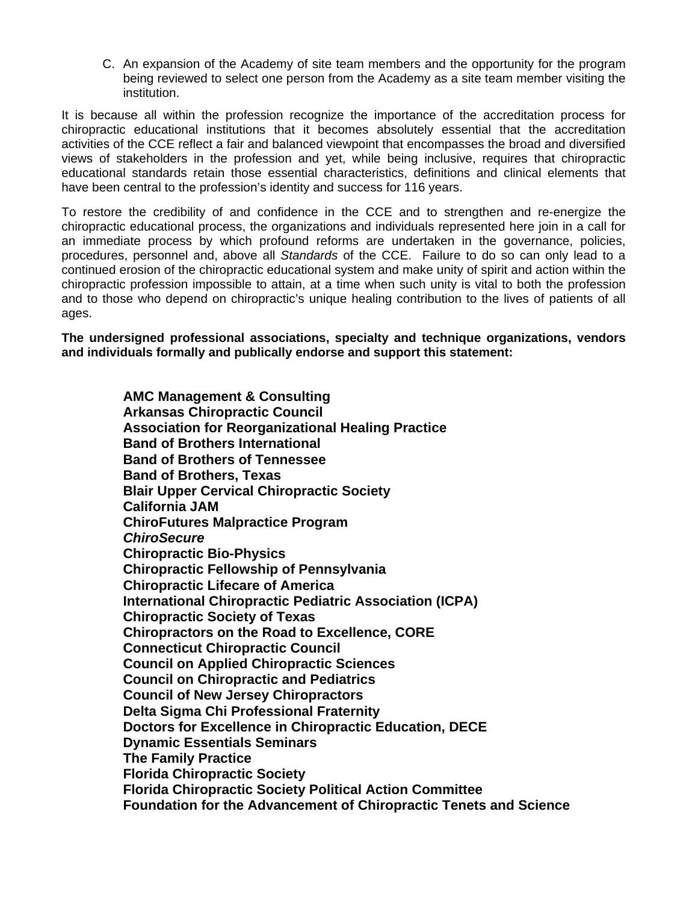C. An expansion of the Academy of site team members and the opportunity for the program being reviewed to select one person from the Academy as a site team member visiting the institution.

It is because all within the profession recognize the importance of the accreditation process for chiropractic educational institutions that it becomes absolutely essential that the accreditation activities of the CCE reflect a fair and balanced viewpoint that encompasses the broad and diversified views of stakeholders in the profession and yet, while being inclusive, requires that chiropractic educational standards retain those essential characteristics, definitions and clinical elements that have been central to the profession's identity and success for 116 years.

To restore the credibility of and confidence in the CCE and to strengthen and re-energize the chiropractic educational process, the organizations and individuals represented here join in a call for an immediate process by which profound reforms are undertaken in the governance, policies, procedures, personnel and, above all *Standards* of the CCE. Failure to do so can only lead to a continued erosion of the chiropractic educational system and make unity of spirit and action within the chiropractic profession impossible to attain, at a time when such unity is vital to both the profession and to those who depend on chiropractic's unique healing contribution to the lives of patients of all ages.

**The undersigned professional associations, specialty and technique organizations, vendors and individuals formally and publically endorse and support this statement:** 

> **AMC Management & Consulting Arkansas Chiropractic Council Association for Reorganizational Healing Practice Band of Brothers International Band of Brothers of Tennessee Band of Brothers, Texas Blair Upper Cervical Chiropractic Society California JAM ChiroFutures Malpractice Program**  *ChiroSecure* **Chiropractic Bio-Physics Chiropractic Fellowship of Pennsylvania Chiropractic Lifecare of America International Chiropractic Pediatric Association (ICPA) Chiropractic Society of Texas Chiropractors on the Road to Excellence, CORE Connecticut Chiropractic Council Council on Applied Chiropractic Sciences Council on Chiropractic and Pediatrics Council of New Jersey Chiropractors Delta Sigma Chi Professional Fraternity Doctors for Excellence in Chiropractic Education, DECE Dynamic Essentials Seminars The Family Practice Florida Chiropractic Society Florida Chiropractic Society Political Action Committee Foundation for the Advancement of Chiropractic Tenets and Science**